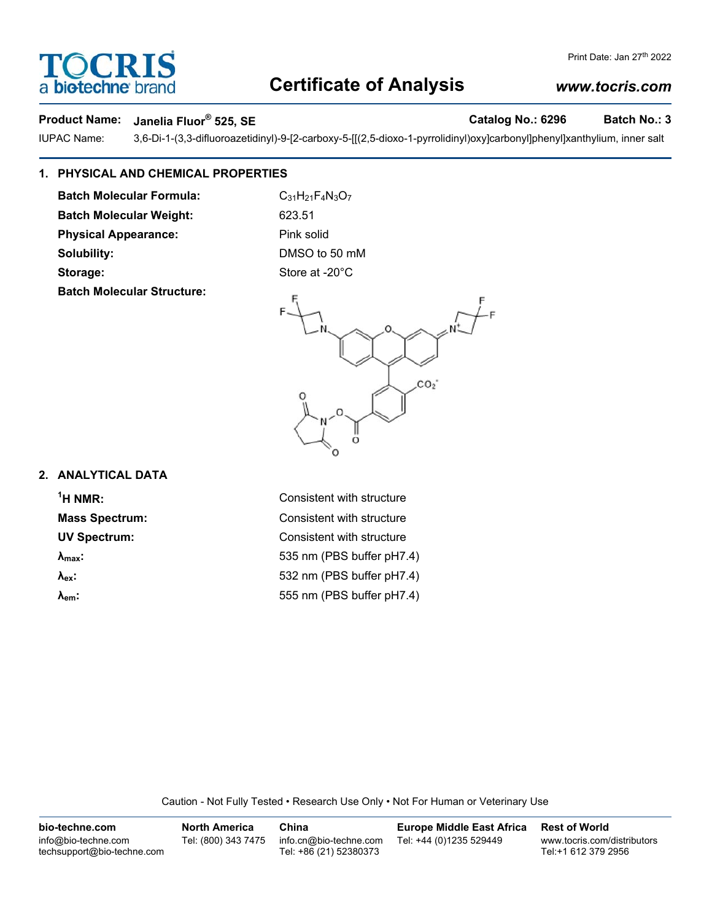# **Certificate of Analysis**

# Product Name: Janelia Fluor® 525, SE **Catalog No.: 6296** Batch No.: 3

**DCRI** 

**biotechne** 

IUPAC Name: 3,6-Di-1-(3,3-difluoroazetidinyl)-9-[2-carboxy-5-[[(2,5-dioxo-1-pyrrolidinyl)oxy]carbonyl]phenyl]xanthylium, inner salt

### **1. PHYSICAL AND CHEMICAL PROPERTIES**

**Batch Molecular Formula:** C<sub>31</sub>H<sub>21</sub>F<sub>4</sub>N<sub>3</sub>O<sub>7</sub> **Batch Molecular Weight:** 623.51 **Physical Appearance:** Pink solid **Solubility:** DMSO to 50 mM Storage: Store at -20°C **Batch Molecular Structure:**



## **2. ANALYTICAL DATA**

 $<sup>1</sup>H NMR$ :</sup>

**Consistent with structure Mass Spectrum:** Consistent with structure **UV Spectrum:** Consistent with structure **λmax:** 535 nm (PBS buffer pH7.4) **λex:** 532 nm (PBS buffer pH7.4) **λem:** 555 nm (PBS buffer pH7.4)

Caution - Not Fully Tested • Research Use Only • Not For Human or Veterinary Use

**bio-techne.com** info@bio-techne.com techsupport@bio-techne.com **North America** Tel: (800) 343 7475 **China** info.cn@bio-techne.com Tel: +86 (21) 52380373 **Europe Middle East Africa** Tel: +44 (0)1235 529449 **Rest of World** www.tocris.com/distributors Tel:+1 612 379 2956

### *www.tocris.com*